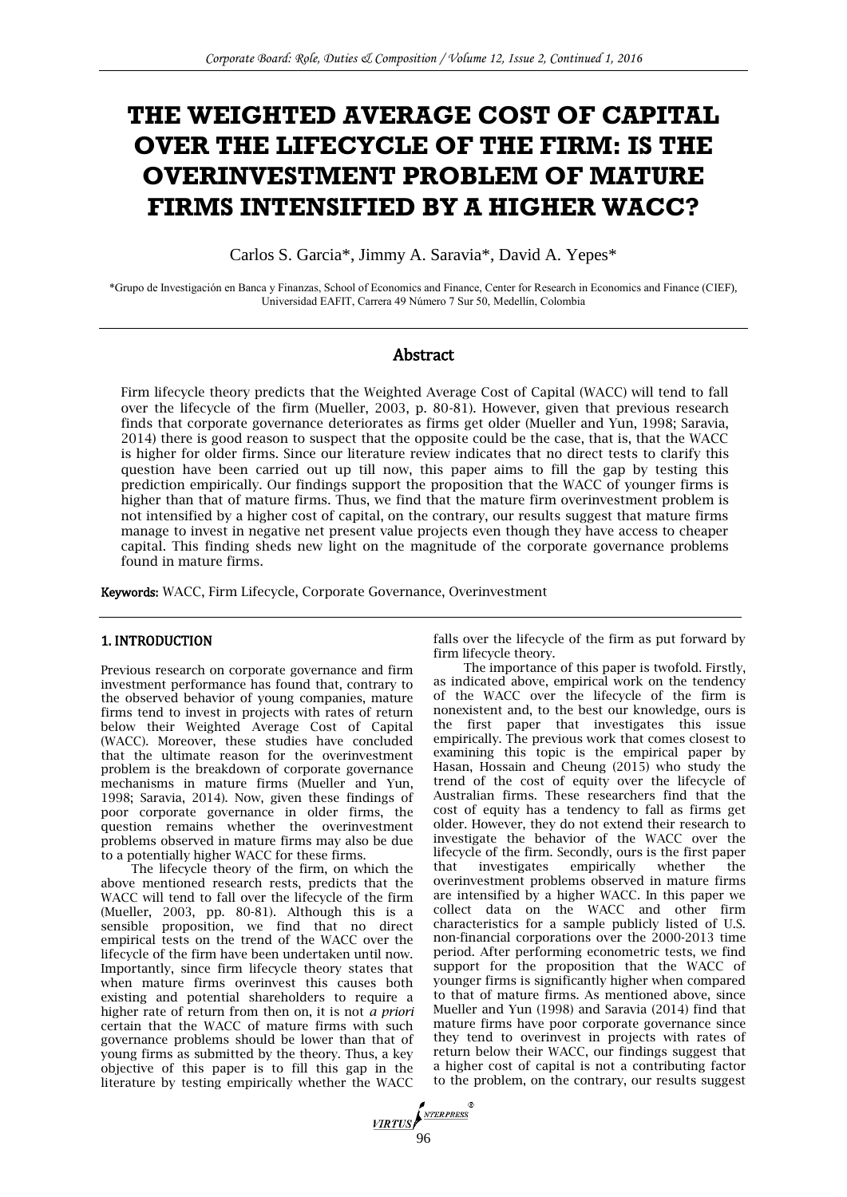# **THE WEIGHTED AVERAGE COST OF CAPITAL OVER THE LIFECYCLE OF THE FIRM: IS THE OVERINVESTMENT PROBLEM OF MATURE FIRMS INTENSIFIED BY A HIGHER WACC?**

Carlos S. Garcia\*, Jimmy A. Saravia\*, David A. Yepes\*

\*Grupo de Investigación en Banca y Finanzas, School of Economics and Finance, Center for Research in Economics and Finance (CIEF), Universidad EAFIT, Carrera 49 Número 7 Sur 50, Medellín, Colombia

# **Abstract**

Firm lifecycle theory predicts that the Weighted Average Cost of Capital (WACC) will tend to fall over the lifecycle of the firm (Mueller, 2003, p. 80-81). However, given that previous research finds that corporate governance deteriorates as firms get older (Mueller and Yun, 1998; Saravia, 2014) there is good reason to suspect that the opposite could be the case, that is, that the WACC is higher for older firms. Since our literature review indicates that no direct tests to clarify this question have been carried out up till now, this paper aims to fill the gap by testing this prediction empirically. Our findings support the proposition that the WACC of younger firms is higher than that of mature firms. Thus, we find that the mature firm overinvestment problem is not intensified by a higher cost of capital, on the contrary, our results suggest that mature firms manage to invest in negative net present value projects even though they have access to cheaper capital. This finding sheds new light on the magnitude of the corporate governance problems found in mature firms.

Keywords: WACC, Firm Lifecycle, Corporate Governance, Overinvestment

# 1. INTRODUCTION

Previous research on corporate governance and firm investment performance has found that, contrary to the observed behavior of young companies, mature firms tend to invest in projects with rates of return below their Weighted Average Cost of Capital (WACC). Moreover, these studies have concluded that the ultimate reason for the overinvestment problem is the breakdown of corporate governance mechanisms in mature firms (Mueller and Yun, 1998; Saravia, 2014). Now, given these findings of poor corporate governance in older firms, the question remains whether the overinvestment problems observed in mature firms may also be due to a potentially higher WACC for these firms.

The lifecycle theory of the firm, on which the above mentioned research rests, predicts that the WACC will tend to fall over the lifecycle of the firm (Mueller, 2003, pp. 80-81). Although this is a sensible proposition, we find that no direct empirical tests on the trend of the WACC over the lifecycle of the firm have been undertaken until now. Importantly, since firm lifecycle theory states that when mature firms overinvest this causes both existing and potential shareholders to require a higher rate of return from then on, it is not *a priori* certain that the WACC of mature firms with such governance problems should be lower than that of young firms as submitted by the theory. Thus, a key objective of this paper is to fill this gap in the literature by testing empirically whether the WACC falls over the lifecycle of the firm as put forward by firm lifecycle theory.

The importance of this paper is twofold. Firstly, as indicated above, empirical work on the tendency of the WACC over the lifecycle of the firm is nonexistent and, to the best our knowledge, ours is the first paper that investigates this issue empirically. The previous work that comes closest to examining this topic is the empirical paper by Hasan, Hossain and Cheung (2015) who study the trend of the cost of equity over the lifecycle of Australian firms. These researchers find that the cost of equity has a tendency to fall as firms get older. However, they do not extend their research to investigate the behavior of the WACC over the lifecycle of the firm. Secondly, ours is the first paper that investigates empirically whether the overinvestment problems observed in mature firms are intensified by a higher WACC. In this paper we collect data on the WACC and other firm characteristics for a sample publicly listed of U.S. non-financial corporations over the 2000-2013 time period. After performing econometric tests, we find support for the proposition that the WACC of younger firms is significantly higher when compared to that of mature firms. As mentioned above, since Mueller and Yun (1998) and Saravia (2014) find that mature firms have poor corporate governance since they tend to overinvest in projects with rates of return below their WACC, our findings suggest that a higher cost of capital is not a contributing factor to the problem, on the contrary, our results suggest

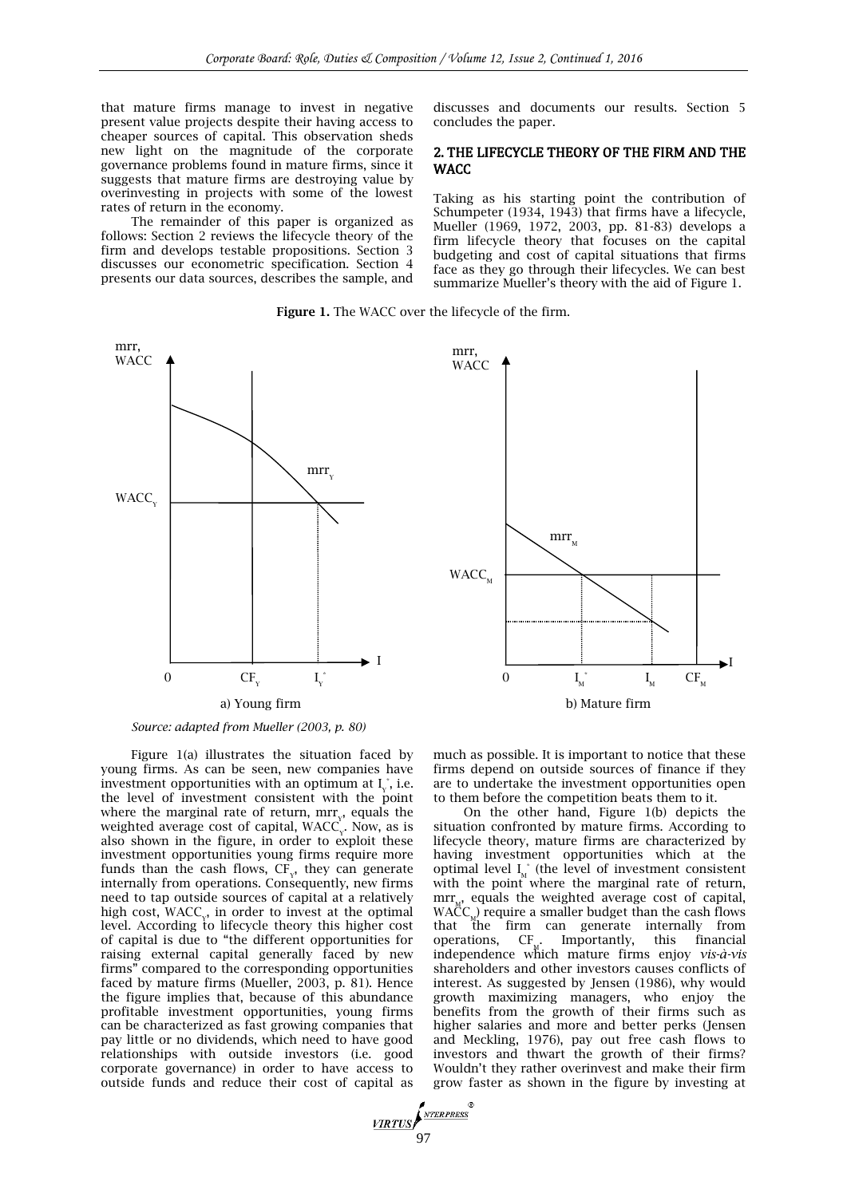that mature firms manage to invest in negative present value projects despite their having access to cheaper sources of capital. This observation sheds new light on the magnitude of the corporate governance problems found in mature firms, since it suggests that mature firms are destroying value by overinvesting in projects with some of the lowest rates of return in the economy.

The remainder of this paper is organized as follows: Section 2 reviews the lifecycle theory of the firm and develops testable propositions. Section 3 discusses our econometric specification. Section 4 presents our data sources, describes the sample, and

discusses and documents our results. Section 5 concludes the paper.

## 2. THE LIFECYCLE THEORY OF THE FIRM AND THE **WACC**

Taking as his starting point the contribution of Schumpeter (1934, 1943) that firms have a lifecycle. Mueller (1969, 1972, 2003, pp. 81-83) develops a firm lifecycle theory that focuses on the capital budgeting and cost of capital situations that firms face as they go through their lifecycles. We can best summarize Mueller's theory with the aid of Figure 1.



**Figure 1.** The WACC over the lifecycle of the firm.

*Source: adapted from Mueller (2003, p. 80)* 

Figure 1(a) illustrates the situation faced by young firms. As can be seen, new companies have investment opportunities with an optimum at  $I_{n}^*$ , i.e.  $\frac{1}{\sqrt{2}}$  the level of investment consistent with the point where the marginal rate of return,  $\text{mrr}_{y}$ , equals the weighted average cost of capital,  $WACC_{Y}$ . Now, as is also shown in the figure, in order to exploit these investment opportunities young firms require more funds than the cash flows,  $CF_{Y}$ , they can generate internally from operations. Consequently, new firms need to tap outside sources of capital at a relatively high cost,  $WACC_{Y}$ , in order to invest at the optimal level. According to lifecycle theory this higher cost of capital is due to "the different opportunities for raising external capital generally faced by new firms" compared to the corresponding opportunities faced by mature firms (Mueller, 2003, p. 81). Hence the figure implies that, because of this abundance profitable investment opportunities, young firms can be characterized as fast growing companies that pay little or no dividends, which need to have good relationships with outside investors (i.e. good corporate governance) in order to have access to outside funds and reduce their cost of capital as

much as possible. It is important to notice that these firms depend on outside sources of finance if they are to undertake the investment opportunities open to them before the competition beats them to it.

I

On the other hand, Figure 1(b) depicts the situation confronted by mature firms. According to lifecycle theory, mature firms are characterized by having investment opportunities which at the optimal level  $I_M^*$  (the level of investment consistent with the point where the marginal rate of return, mrr , equals the weighted average cost of capital,  $WACC_{n}$ ) require a smaller budget than the cash flows that the firm can generate internally from operations, CF . Importantly, this financial independence which mature firms enjoy *vis-à-vis* shareholders and other investors causes conflicts of interest. As suggested by Jensen (1986), why would growth maximizing managers, who enjoy the benefits from the growth of their firms such as higher salaries and more and better perks (Jensen and Meckling, 1976), pay out free cash flows to investors and thwart the growth of their firms? Wouldn't they rather overinvest and make their firm grow faster as shown in the figure by investing at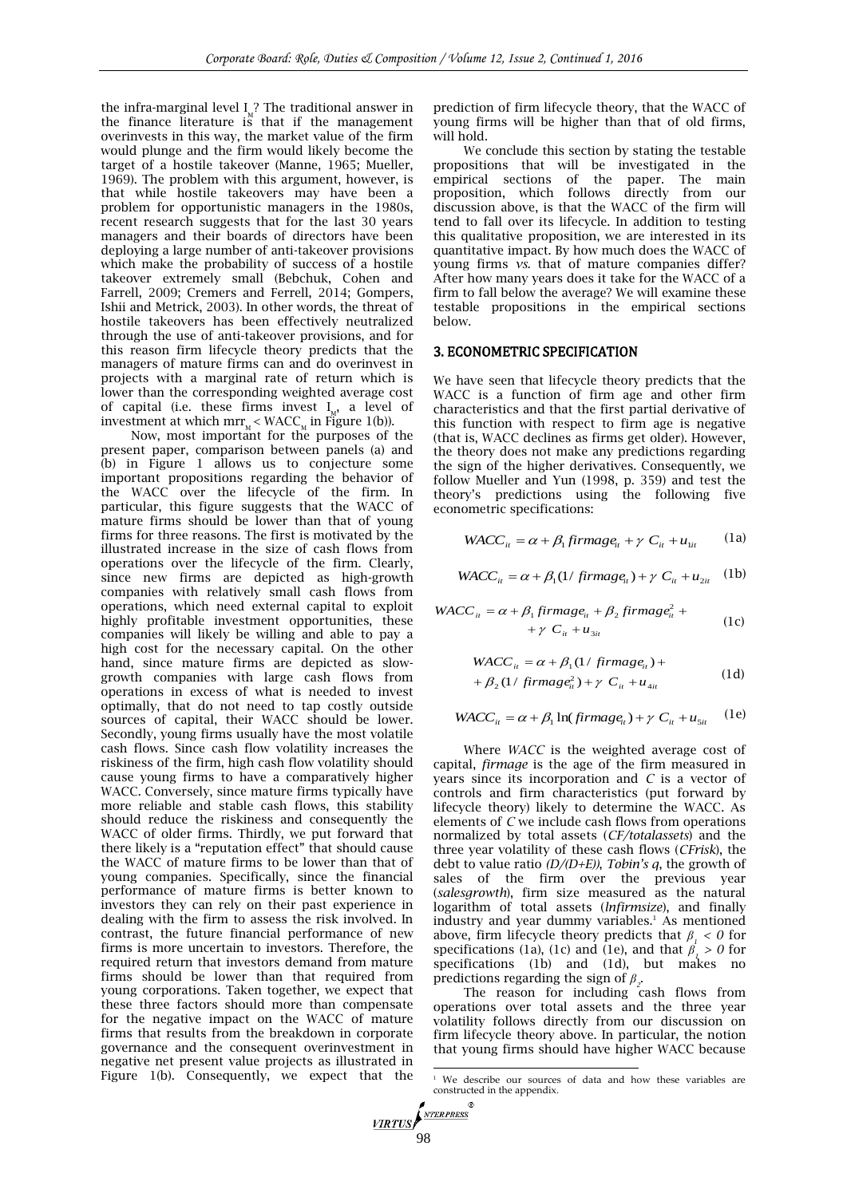the infra-marginal level I ? The traditional answer in the finance literature is that if the management overinvests in this way, the market value of the firm would plunge and the firm would likely become the target of a hostile takeover (Manne, 1965; Mueller, 1969). The problem with this argument, however, is that while hostile takeovers may have been a problem for opportunistic managers in the 1980s, recent research suggests that for the last 30 years managers and their boards of directors have been deploying a large number of anti-takeover provisions which make the probability of success of a hostile takeover extremely small (Bebchuk, Cohen and Farrell, 2009; Cremers and Ferrell, 2014; Gompers, Ishii and Metrick, 2003). In other words, the threat of hostile takeovers has been effectively neutralized through the use of anti-takeover provisions, and for this reason firm lifecycle theory predicts that the managers of mature firms can and do overinvest in projects with a marginal rate of return which is lower than the corresponding weighted average cost of capital (i.e. these firms invest  $I_{\alpha}$ , a level of investment at which  $m r_{\rm M} <$  WACC<sub>M</sub> in Figure 1(b)).

Now, most important for the purposes of the present paper, comparison between panels (a) and (b) in Figure 1 allows us to conjecture some important propositions regarding the behavior of the WACC over the lifecycle of the firm. In particular, this figure suggests that the WACC of mature firms should be lower than that of young firms for three reasons. The first is motivated by the illustrated increase in the size of cash flows from operations over the lifecycle of the firm. Clearly, since new firms are depicted as high-growth companies with relatively small cash flows from operations, which need external capital to exploit highly profitable investment opportunities, these companies will likely be willing and able to pay a high cost for the necessary capital. On the other hand, since mature firms are depicted as slowgrowth companies with large cash flows from operations in excess of what is needed to invest optimally, that do not need to tap costly outside sources of capital, their WACC should be lower. Secondly, young firms usually have the most volatile cash flows. Since cash flow volatility increases the riskiness of the firm, high cash flow volatility should cause young firms to have a comparatively higher WACC. Conversely, since mature firms typically have more reliable and stable cash flows, this stability should reduce the riskiness and consequently the WACC of older firms. Thirdly, we put forward that there likely is a "reputation effect" that should cause the WACC of mature firms to be lower than that of young companies. Specifically, since the financial performance of mature firms is better known to investors they can rely on their past experience in dealing with the firm to assess the risk involved. In contrast, the future financial performance of new firms is more uncertain to investors. Therefore, the required return that investors demand from mature firms should be lower than that required from young corporations. Taken together, we expect that these three factors should more than compensate for the negative impact on the WACC of mature firms that results from the breakdown in corporate governance and the consequent overinvestment in negative net present value projects as illustrated in Figure 1(b). Consequently, we expect that the

prediction of firm lifecycle theory, that the WACC of young firms will be higher than that of old firms, will hold.

We conclude this section by stating the testable propositions that will be investigated in the empirical sections of the paper. The main proposition, which follows directly from our discussion above, is that the WACC of the firm will tend to fall over its lifecycle. In addition to testing this qualitative proposition, we are interested in its quantitative impact. By how much does the WACC of young firms *vs.* that of mature companies differ? After how many years does it take for the WACC of a firm to fall below the average? We will examine these testable propositions in the empirical sections below.

#### 3. ECONOMETRIC SPECIFICATION

We have seen that lifecycle theory predicts that the WACC is a function of firm age and other firm characteristics and that the first partial derivative of this function with respect to firm age is negative (that is, WACC declines as firms get older). However, the theory does not make any predictions regarding the sign of the higher derivatives. Consequently, we follow Mueller and Yun (1998, p. 359) and test the theory's predictions using the following five econometric specifications:

$$
WACC_{it} = \alpha + \beta_1 \text{firmage}_{it} + \gamma \ C_{it} + u_{1it} \tag{1a}
$$

$$
WACC_{it} = \alpha + \beta_1 (1/frame_{it}) + \gamma C_{it} + u_{2it} \quad (1b)
$$

$$
WACC_{ii} = \alpha + \beta_1 \text{firmage}_{ii} + \beta_2 \text{firmage}_{ii}^2 + + \gamma \ C_{ii} + u_{3ii}
$$
 (1c)

$$
WACC_{ii} = \alpha + \beta_1 (1 / firmage_{ii}) ++ \beta_2 (1 / firmage_{ii}^2) + \gamma C_{ii} + u_{4ii}
$$
 (1d)

$$
WACC_{it} = \alpha + \beta_1 \ln(firmage_{it}) + \gamma C_{it} + u_{sti} \quad (1e)
$$

Where *WACC* is the weighted average cost of capital, *firmage* is the age of the firm measured in years since its incorporation and *C* is a vector of controls and firm characteristics (put forward by lifecycle theory) likely to determine the WACC. As elements of *C* we include cash flows from operations normalized by total assets (*CF/totalassets*) and the three year volatility of these cash flows (*CFrisk*), the debt to value ratio *(D/(D+E))*, *Tobin's q*, the growth of sales of the firm over the previous year (*salesgrowth*), firm size measured as the natural logarithm of total assets (*lnfirmsize*), and finally industry and year dummy variables. $<sup>1</sup>$  As mentioned</sup> above, firm lifecycle theory predicts that  $\beta_1 < 0$  for specifications (1a), (1c) and (1e), and that  $\beta$ <sub>*l*</sub> > 0 for specifications (1b) and (1d), but makes no predictions regarding the sign of *β* .

The reason for including cash flows from operations over total assets and the three year volatility follows directly from our discussion on firm lifecycle theory above. In particular, the notion that young firms should have higher WACC because

-

<sup>&</sup>lt;sup>1</sup> We describe our sources of data and how these variables are constructed in the appendix.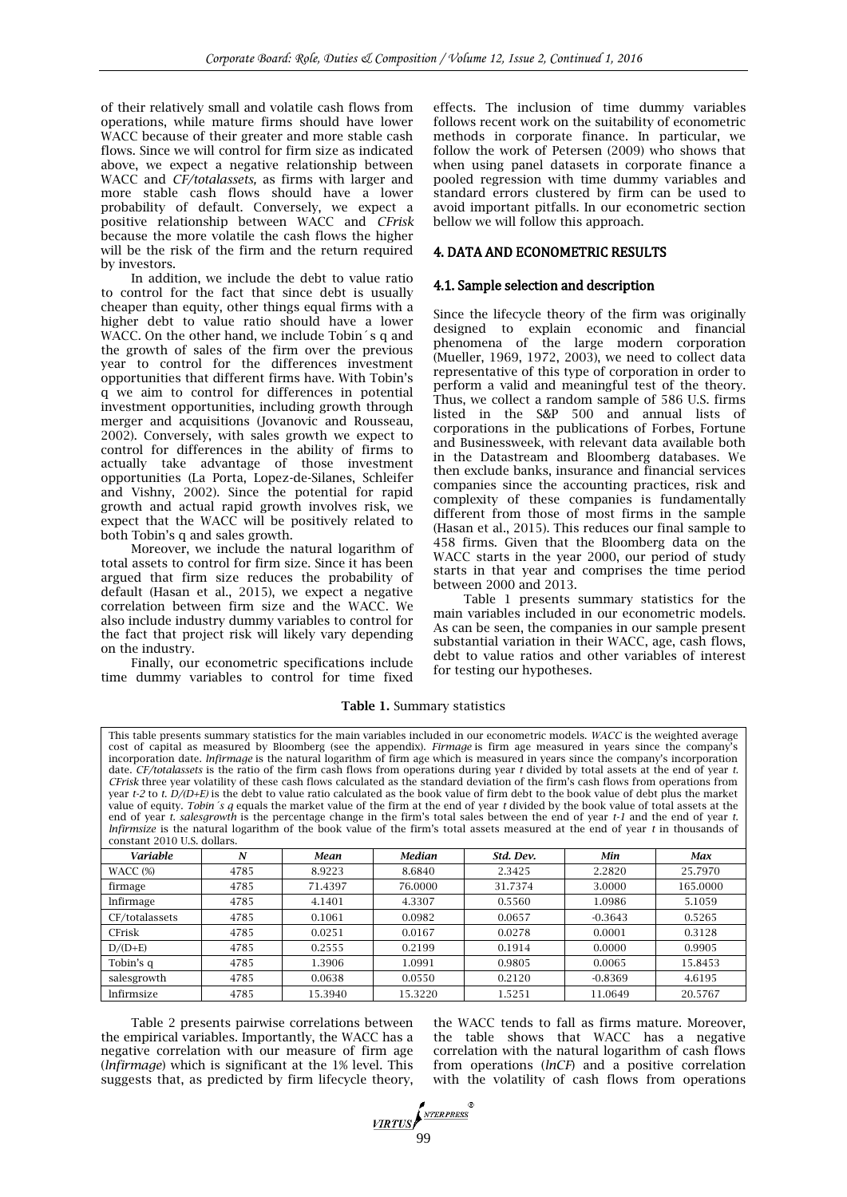of their relatively small and volatile cash flows from operations, while mature firms should have lower WACC because of their greater and more stable cash flows. Since we will control for firm size as indicated above, we expect a negative relationship between WACC and *CF/totalassets,* as firms with larger and more stable cash flows should have a lower probability of default. Conversely, we expect a positive relationship between WACC and *CFrisk* because the more volatile the cash flows the higher will be the risk of the firm and the return required by investors.

In addition, we include the debt to value ratio to control for the fact that since debt is usually cheaper than equity, other things equal firms with a higher debt to value ratio should have a lower WACC. On the other hand, we include Tobin´s q and the growth of sales of the firm over the previous year to control for the differences investment opportunities that different firms have. With Tobin's q we aim to control for differences in potential investment opportunities, including growth through merger and acquisitions (Jovanovic and Rousseau, 2002). Conversely, with sales growth we expect to control for differences in the ability of firms to actually take advantage of those investment opportunities (La Porta, Lopez-de-Silanes, Schleifer and Vishny, 2002). Since the potential for rapid growth and actual rapid growth involves risk, we expect that the WACC will be positively related to both Tobin's q and sales growth.

Moreover, we include the natural logarithm of total assets to control for firm size. Since it has been argued that firm size reduces the probability of default (Hasan et al., 2015), we expect a negative correlation between firm size and the WACC. We also include industry dummy variables to control for the fact that project risk will likely vary depending on the industry.

Finally, our econometric specifications include time dummy variables to control for time fixed

effects. The inclusion of time dummy variables follows recent work on the suitability of econometric methods in corporate finance. In particular, we follow the work of Petersen (2009) who shows that when using panel datasets in corporate finance a pooled regression with time dummy variables and standard errors clustered by firm can be used to avoid important pitfalls. In our econometric section bellow we will follow this approach.

# 4. DATA AND ECONOMETRIC RESULTS

#### 4.1. Sample selection and description

Since the lifecycle theory of the firm was originally designed to explain economic and financial phenomena of the large modern corporation (Mueller, 1969, 1972, 2003), we need to collect data representative of this type of corporation in order to perform a valid and meaningful test of the theory. Thus, we collect a random sample of 586 U.S. firms listed in the S&P 500 and annual lists of corporations in the publications of Forbes, Fortune and Businessweek, with relevant data available both in the Datastream and Bloomberg databases. We then exclude banks, insurance and financial services companies since the accounting practices, risk and complexity of these companies is fundamentally different from those of most firms in the sample (Hasan et al., 2015). This reduces our final sample to 458 firms. Given that the Bloomberg data on the WACC starts in the year 2000, our period of study starts in that year and comprises the time period between 2000 and 2013.

Table 1 presents summary statistics for the main variables included in our econometric models. As can be seen, the companies in our sample present substantial variation in their WACC, age, cash flows, debt to value ratios and other variables of interest for testing our hypotheses.

#### **Table 1.** Summary statistics

This table presents summary statistics for the main variables included in our econometric models. *WACC* is the weighted average cost of capital as measured by Bloomberg (see the appendix). *Firmage* is firm age measured in years since the company's incorporation date. *lnfirmage* is the natural logarithm of firm age which is measured in years since the company's incorporation date. *CF/totalassets* is the ratio of the firm cash flows from operations during year *t* divided by total assets at the end of year *t*. *CFrisk* three year volatility of these cash flows calculated as the standard deviation of the firm's cash flows from operations from year *t-2* to *t*. *D/(D+E)* is the debt to value ratio calculated as the book value of firm debt to the book value of debt plus the market value of equity. *Tobin´s q* equals the market value of the firm at the end of year *t* divided by the book value of total assets at the end of year *t*. *salesgrowth* is the percentage change in the firm's total sales between the end of year *t-1* and the end of year *t*. *lnfirmsize* is the natural logarithm of the book value of the firm's total assets measured at the end of year *t* in thousands of constant 2010 U.S. dollars.

| <b>Variable</b>   | N    | Mean    | <b>Median</b> | Std. Dev. | Min       | Max      |
|-------------------|------|---------|---------------|-----------|-----------|----------|
| WACC (%)          | 4785 | 8.9223  | 8.6840        | 2.3425    | 2.2820    | 25.7970  |
| firmage           | 4785 | 71.4397 | 76,0000       | 31.7374   | 3.0000    | 165.0000 |
| <b>Infirmage</b>  | 4785 | 4.1401  | 4.3307        | 0.5560    | 1.0986    | 5.1059   |
| CF/totalassets    | 4785 | 0.1061  | 0.0982        | 0.0657    | $-0.3643$ | 0.5265   |
| CFrisk            | 4785 | 0.0251  | 0.0167        | 0.0278    | 0.0001    | 0.3128   |
| $D/(D+E)$         | 4785 | 0.2555  | 0.2199        | 0.1914    | 0.0000    | 0.9905   |
| Tobin's q         | 4785 | 1.3906  | 1.0991        | 0.9805    | 0.0065    | 15.8453  |
| salesgrowth       | 4785 | 0.0638  | 0.0550        | 0.2120    | $-0.8369$ | 4.6195   |
| <b>Infirmsize</b> | 4785 | 15.3940 | 15.3220       | 1.5251    | 11.0649   | 20.5767  |

Table 2 presents pairwise correlations between the empirical variables. Importantly, the WACC has a negative correlation with our measure of firm age (*lnfirmage*) which is significant at the 1% level. This suggests that, as predicted by firm lifecycle theory, the WACC tends to fall as firms mature. Moreover, the table shows that WACC has a negative correlation with the natural logarithm of cash flows from operations (*lnCF*) and a positive correlation with the volatility of cash flows from operations

VIRTUS NTERPRESS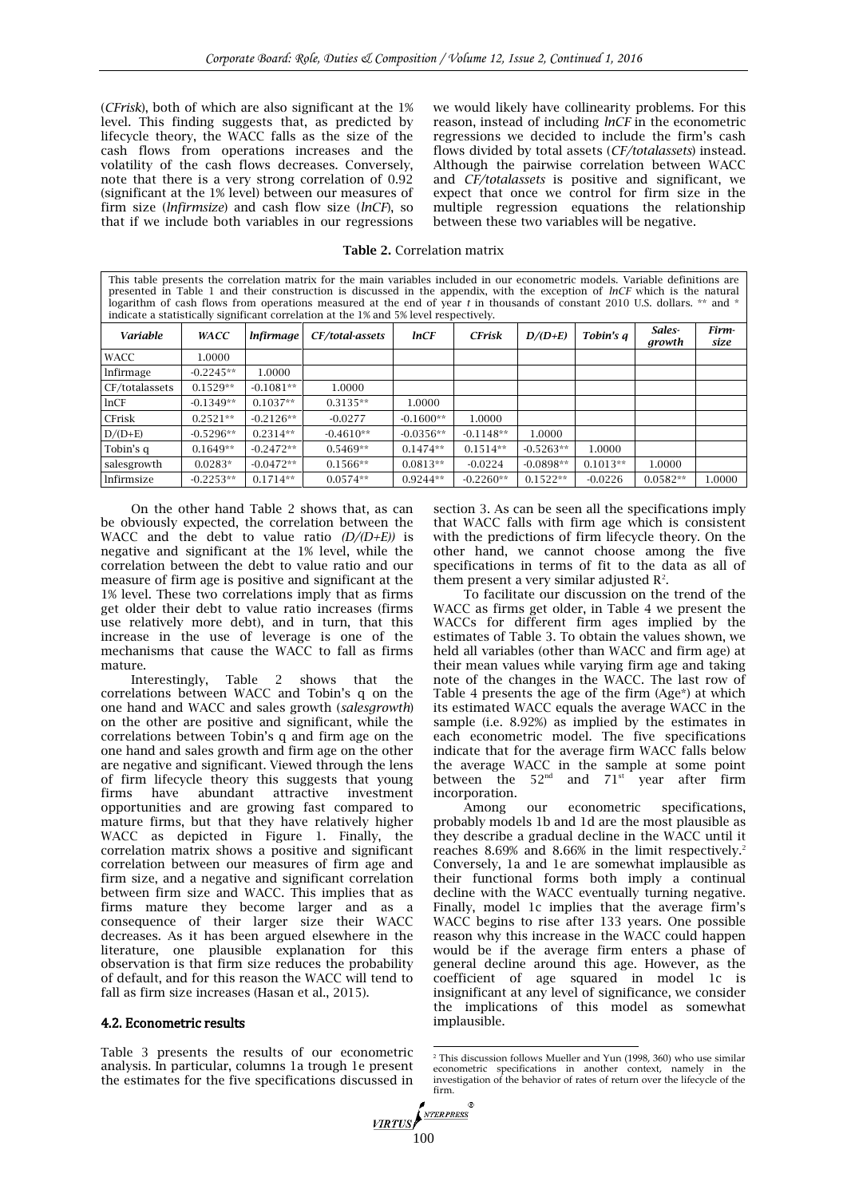(*CFrisk*), both of which are also significant at the 1% level. This finding suggests that, as predicted by lifecycle theory, the WACC falls as the size of the cash flows from operations increases and the volatility of the cash flows decreases. Conversely, note that there is a very strong correlation of 0.92 (significant at the 1% level) between our measures of firm size (*lnfirmsize*) and cash flow size (*lnCF*), so that if we include both variables in our regressions we would likely have collinearity problems. For this reason, instead of including *lnCF* in the econometric regressions we decided to include the firm's cash flows divided by total assets (*CF/totalassets*) instead. Although the pairwise correlation between WACC and *CF/totalassets* is positive and significant, we expect that once we control for firm size in the multiple regression equations the relationship between these two variables will be negative.

#### **Table 2.** Correlation matrix

This table presents the correlation matrix for the main variables included in our econometric models. Variable definitions are presented in Table 1 and their construction is discussed in the appendix, with the exception of *lnCF* which is the natural logarithm of cash flows from operations measured at the end of year *t* in thousands of constant 2010 U.S. dollars. \*\* and \* indicate a statistically significant correlation at the 1% and 5% level respectively.

| <b>Variable</b> | <b>WACC</b> | Infirmage   | CF/total-assets | <b>InCF</b> | <b>CFrisk</b> | $D/(D+E)$   | Tobin's q  | Sales-<br>growth | Firm-<br>size |
|-----------------|-------------|-------------|-----------------|-------------|---------------|-------------|------------|------------------|---------------|
| <b>WACC</b>     | 1.0000      |             |                 |             |               |             |            |                  |               |
| lnfirmage       | $-0.2245**$ | 1.0000      |                 |             |               |             |            |                  |               |
| CF/totalassets  | $0.1529**$  | $-0.1081**$ | 1.0000          |             |               |             |            |                  |               |
| lnCF            | $-0.1349**$ | $0.1037**$  | $0.3135**$      | 1.0000      |               |             |            |                  |               |
| CFrisk          | $0.2521**$  | $-0.2126**$ | $-0.0277$       | $-0.1600**$ | 1.0000        |             |            |                  |               |
| $D/(D+E)$       | $-0.5296**$ | $0.2314**$  | $-0.4610**$     | $-0.0356**$ | $-0.1148**$   | 1.0000      |            |                  |               |
| Tobin's q       | $0.1649**$  | $-0.2472**$ | $0.5469**$      | $0.1474**$  | $0.1514**$    | $-0.5263**$ | 1.0000     |                  |               |
| salesgrowth     | $0.0283*$   | $-0.0472**$ | $0.1566**$      | $0.0813**$  | $-0.0224$     | $-0.0898**$ | $0.1013**$ | 1.0000           |               |
| Infirmsize      | $-0.2253**$ | $0.1714**$  | $0.0574**$      | $0.9244**$  | $-0.2260**$   | $0.1522**$  | $-0.0226$  | $0.0582**$       | 1.0000        |

On the other hand Table 2 shows that, as can be obviously expected, the correlation between the WACC and the debt to value ratio *(D/(D+E))* is negative and significant at the 1% level, while the correlation between the debt to value ratio and our measure of firm age is positive and significant at the 1% level. These two correlations imply that as firms get older their debt to value ratio increases (firms use relatively more debt), and in turn, that this increase in the use of leverage is one of the mechanisms that cause the WACC to fall as firms mature.

Interestingly, Table 2 shows that the correlations between WACC and Tobin's q on the one hand and WACC and sales growth (*salesgrowth*) on the other are positive and significant, while the correlations between Tobin's q and firm age on the one hand and sales growth and firm age on the other are negative and significant. Viewed through the lens of firm lifecycle theory this suggests that young firms have abundant attractive investment opportunities and are growing fast compared to mature firms, but that they have relatively higher WACC as depicted in Figure 1. Finally, the correlation matrix shows a positive and significant correlation between our measures of firm age and firm size, and a negative and significant correlation between firm size and WACC. This implies that as firms mature they become larger and as a consequence of their larger size their WACC decreases. As it has been argued elsewhere in the literature, one plausible explanation for this observation is that firm size reduces the probability of default, and for this reason the WACC will tend to fall as firm size increases (Hasan et al., 2015).

# 4.2. Econometric results

Table 3 presents the results of our econometric analysis. In particular, columns 1a trough 1e present the estimates for the five specifications discussed in

section 3. As can be seen all the specifications imply that WACC falls with firm age which is consistent with the predictions of firm lifecycle theory. On the other hand, we cannot choose among the five specifications in terms of fit to the data as all of them present a very similar adjusted  $\mathbb{R}^2$ .

To facilitate our discussion on the trend of the WACC as firms get older, in Table 4 we present the WACCs for different firm ages implied by the estimates of Table 3. To obtain the values shown, we held all variables (other than WACC and firm age) at their mean values while varying firm age and taking note of the changes in the WACC. The last row of Table 4 presents the age of the firm (Age\*) at which its estimated WACC equals the average WACC in the sample (i.e. 8.92%) as implied by the estimates in each econometric model. The five specifications indicate that for the average firm WACC falls below the average WACC in the sample at some point between the  $52<sup>nd</sup>$  and  $71<sup>st</sup>$  year after firm incorporation.

Among our econometric specifications, probably models 1b and 1d are the most plausible as they describe a gradual decline in the WACC until it reaches 8.69% and 8.66% in the limit respectively.<sup>2</sup> Conversely, 1a and 1e are somewhat implausible as their functional forms both imply a continual decline with the WACC eventually turning negative. Finally, model 1c implies that the average firm's WACC begins to rise after 133 years. One possible reason why this increase in the WACC could happen would be if the average firm enters a phase of general decline around this age. However, as the coefficient of age squared in model 1c is insignificant at any level of significance, we consider the implications of this model as somewhat implausible.

 $\overline{a}$ <sup>2</sup> This discussion follows Mueller and Yun (1998, 360) who use similar econometric specifications in another context, namely in the investigation of the behavior of rates of return over the lifecycle of the firm.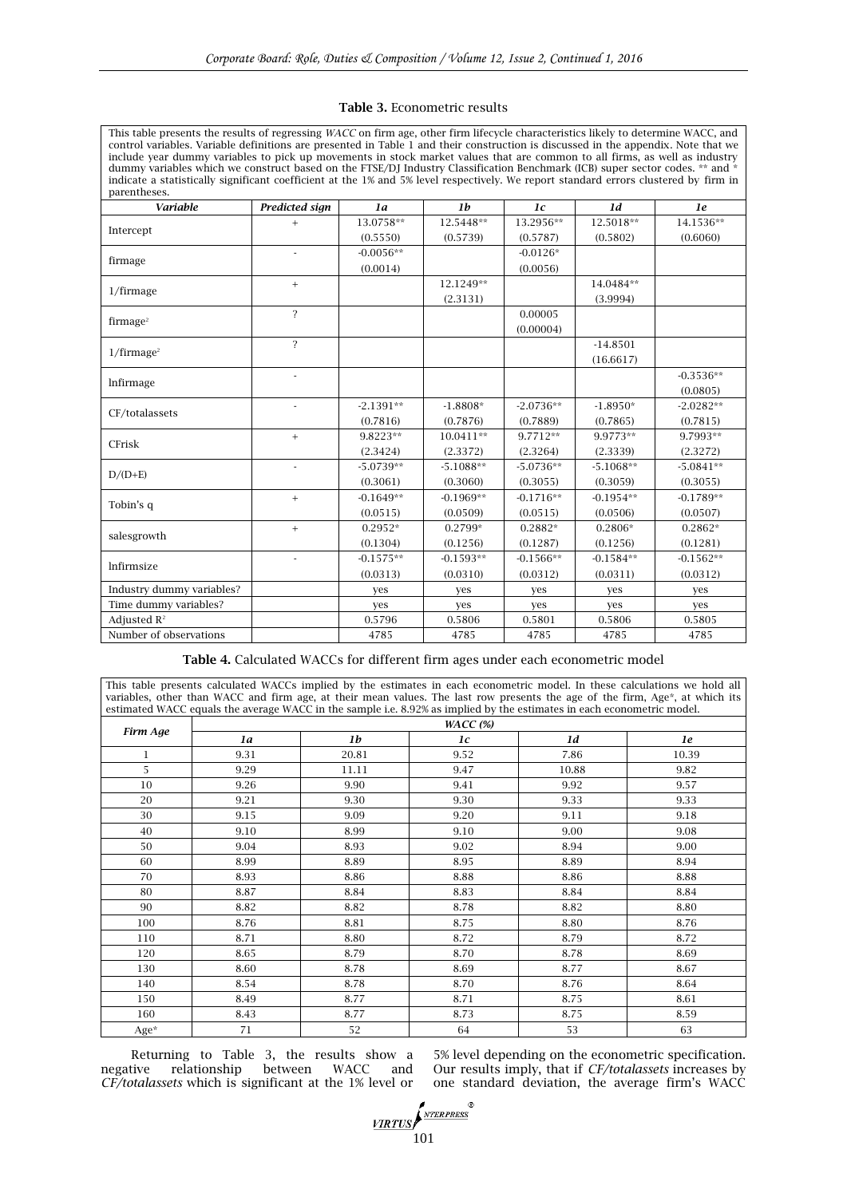#### **Table 3.** Econometric results

| This table presents the results of regressing WACC on firm age, other firm lifecycle characteristics likely to determine WACC, and<br>control variables. Variable definitions are presented in Table 1 and their construction is discussed in the appendix. Note that we<br>include year dummy variables to pick up movements in stock market values that are common to all firms, as well as industry<br>dummy variables which we construct based on the FTSE/DJ Industry Classification Benchmark (ICB) super sector codes. ** and *<br>indicate a statistically significant coefficient at the 1% and 5% level respectively. We report standard errors clustered by firm in<br>parentheses. |                          |                |                       |                                                                                                                                                                                                                             |                                                                                                                                                                                                                                              |             |
|------------------------------------------------------------------------------------------------------------------------------------------------------------------------------------------------------------------------------------------------------------------------------------------------------------------------------------------------------------------------------------------------------------------------------------------------------------------------------------------------------------------------------------------------------------------------------------------------------------------------------------------------------------------------------------------------|--------------------------|----------------|-----------------------|-----------------------------------------------------------------------------------------------------------------------------------------------------------------------------------------------------------------------------|----------------------------------------------------------------------------------------------------------------------------------------------------------------------------------------------------------------------------------------------|-------------|
| <b>Variable</b>                                                                                                                                                                                                                                                                                                                                                                                                                                                                                                                                                                                                                                                                                | Predicted sign           | 1 <sub>a</sub> | 1 <sub>b</sub>        | 1 <sub>c</sub>                                                                                                                                                                                                              | 1d                                                                                                                                                                                                                                           | 1e          |
| Intercept                                                                                                                                                                                                                                                                                                                                                                                                                                                                                                                                                                                                                                                                                      | $+$                      | 13.0758**      | 12.5448**             | 13.2956**                                                                                                                                                                                                                   | 12.5018**                                                                                                                                                                                                                                    | 14.1536**   |
|                                                                                                                                                                                                                                                                                                                                                                                                                                                                                                                                                                                                                                                                                                |                          | (0.5550)       | (0.5739)              | (0.5787)                                                                                                                                                                                                                    | (0.5802)                                                                                                                                                                                                                                     | (0.6060)    |
| firmage                                                                                                                                                                                                                                                                                                                                                                                                                                                                                                                                                                                                                                                                                        |                          | $-0.0056**$    |                       | $-0.0126*$                                                                                                                                                                                                                  | 14.0484**<br>(3.9994)<br>$-14.8501$<br>(16.6617)<br>$-1.8950*$<br>(0.7865)<br>9.9773**<br>(2.3339)<br>$-5.1068**$<br>(0.3059)<br>$-0.1954**$<br>(0.0506)<br>$0.2806*$<br>(0.1256)<br>$-0.1584**$<br>(0.0311)<br>yes<br>yes<br>0.5806<br>4785 |             |
|                                                                                                                                                                                                                                                                                                                                                                                                                                                                                                                                                                                                                                                                                                |                          | (0.0014)       |                       | (0.0056)<br>0.00005<br>(0.00004)<br>$-2.0736**$<br>(0.7889)<br>9.7712**<br>(2.3264)<br>$-5.0736**$<br>(0.3055)<br>$-0.1716**$<br>(0.0515)<br>0.2882*<br>(0.1287)<br>$-0.1566**$<br>(0.0312)<br>yes<br>yes<br>0.5801<br>4785 |                                                                                                                                                                                                                                              |             |
|                                                                                                                                                                                                                                                                                                                                                                                                                                                                                                                                                                                                                                                                                                | $^+$                     |                | 12.1249**             |                                                                                                                                                                                                                             |                                                                                                                                                                                                                                              |             |
| 1/firmage                                                                                                                                                                                                                                                                                                                                                                                                                                                                                                                                                                                                                                                                                      |                          |                | (2.3131)              |                                                                                                                                                                                                                             |                                                                                                                                                                                                                                              |             |
| firmage <sup>2</sup>                                                                                                                                                                                                                                                                                                                                                                                                                                                                                                                                                                                                                                                                           | $\overline{\mathcal{L}}$ |                |                       |                                                                                                                                                                                                                             |                                                                                                                                                                                                                                              |             |
|                                                                                                                                                                                                                                                                                                                                                                                                                                                                                                                                                                                                                                                                                                |                          |                |                       |                                                                                                                                                                                                                             |                                                                                                                                                                                                                                              |             |
| 1/firmage <sup>2</sup>                                                                                                                                                                                                                                                                                                                                                                                                                                                                                                                                                                                                                                                                         | $\overline{?}$           |                |                       |                                                                                                                                                                                                                             |                                                                                                                                                                                                                                              |             |
|                                                                                                                                                                                                                                                                                                                                                                                                                                                                                                                                                                                                                                                                                                |                          |                |                       |                                                                                                                                                                                                                             |                                                                                                                                                                                                                                              |             |
| <b>Infirmage</b>                                                                                                                                                                                                                                                                                                                                                                                                                                                                                                                                                                                                                                                                               |                          |                |                       |                                                                                                                                                                                                                             |                                                                                                                                                                                                                                              | $-0.3536**$ |
|                                                                                                                                                                                                                                                                                                                                                                                                                                                                                                                                                                                                                                                                                                |                          |                |                       |                                                                                                                                                                                                                             |                                                                                                                                                                                                                                              | (0.0805)    |
| CF/totalassets                                                                                                                                                                                                                                                                                                                                                                                                                                                                                                                                                                                                                                                                                 | $\overline{\phantom{a}}$ | $-2.1391**$    | $-1.8808*$            |                                                                                                                                                                                                                             |                                                                                                                                                                                                                                              | $-2.0282**$ |
|                                                                                                                                                                                                                                                                                                                                                                                                                                                                                                                                                                                                                                                                                                |                          | (0.7816)       | (0.7876)              |                                                                                                                                                                                                                             |                                                                                                                                                                                                                                              | (0.7815)    |
| CFrisk                                                                                                                                                                                                                                                                                                                                                                                                                                                                                                                                                                                                                                                                                         | $^{+}$                   | 9.8223**       | 10.0411**             |                                                                                                                                                                                                                             |                                                                                                                                                                                                                                              | 9.7993**    |
|                                                                                                                                                                                                                                                                                                                                                                                                                                                                                                                                                                                                                                                                                                |                          | (2.3424)       | (2.3372)              |                                                                                                                                                                                                                             |                                                                                                                                                                                                                                              | (2.3272)    |
| $D/(D+E)$                                                                                                                                                                                                                                                                                                                                                                                                                                                                                                                                                                                                                                                                                      | $\overline{\phantom{a}}$ | $-5.0739**$    | $-5.1088**$           |                                                                                                                                                                                                                             |                                                                                                                                                                                                                                              | $-5.0841**$ |
|                                                                                                                                                                                                                                                                                                                                                                                                                                                                                                                                                                                                                                                                                                |                          | (0.3061)       | (0.3060)              |                                                                                                                                                                                                                             |                                                                                                                                                                                                                                              | (0.3055)    |
| Tobin's q                                                                                                                                                                                                                                                                                                                                                                                                                                                                                                                                                                                                                                                                                      | $\qquad \qquad +$        | $-0.1649**$    | $-0.1969**$           |                                                                                                                                                                                                                             |                                                                                                                                                                                                                                              | $-0.1789**$ |
|                                                                                                                                                                                                                                                                                                                                                                                                                                                                                                                                                                                                                                                                                                |                          | (0.0515)       | (0.0509)<br>$0.2799*$ |                                                                                                                                                                                                                             |                                                                                                                                                                                                                                              | (0.0507)    |
| salesgrowth                                                                                                                                                                                                                                                                                                                                                                                                                                                                                                                                                                                                                                                                                    | $\qquad \qquad +$        | $0.2952*$      |                       |                                                                                                                                                                                                                             |                                                                                                                                                                                                                                              | $0.2862*$   |
|                                                                                                                                                                                                                                                                                                                                                                                                                                                                                                                                                                                                                                                                                                |                          | (0.1304)       | (0.1256)              |                                                                                                                                                                                                                             |                                                                                                                                                                                                                                              | (0.1281)    |
| <b>Infirmsize</b>                                                                                                                                                                                                                                                                                                                                                                                                                                                                                                                                                                                                                                                                              |                          | $-0.1575**$    | $-0.1593**$           |                                                                                                                                                                                                                             |                                                                                                                                                                                                                                              | $-0.1562**$ |
|                                                                                                                                                                                                                                                                                                                                                                                                                                                                                                                                                                                                                                                                                                |                          | (0.0313)       | (0.0310)              |                                                                                                                                                                                                                             |                                                                                                                                                                                                                                              | (0.0312)    |
| Industry dummy variables?                                                                                                                                                                                                                                                                                                                                                                                                                                                                                                                                                                                                                                                                      |                          | yes            | yes                   |                                                                                                                                                                                                                             |                                                                                                                                                                                                                                              | yes         |
| Time dummy variables?                                                                                                                                                                                                                                                                                                                                                                                                                                                                                                                                                                                                                                                                          |                          | yes            | yes                   |                                                                                                                                                                                                                             |                                                                                                                                                                                                                                              | yes         |
| Adjusted $\mathbb{R}^2$                                                                                                                                                                                                                                                                                                                                                                                                                                                                                                                                                                                                                                                                        |                          | 0.5796         | 0.5806                |                                                                                                                                                                                                                             |                                                                                                                                                                                                                                              | 0.5805      |
| Number of observations                                                                                                                                                                                                                                                                                                                                                                                                                                                                                                                                                                                                                                                                         |                          | 4785           | 4785                  |                                                                                                                                                                                                                             |                                                                                                                                                                                                                                              | 4785        |

**Table 4.** Calculated WACCs for different firm ages under each econometric model

This table presents calculated WACCs implied by the estimates in each econometric model. In these calculations we hold all variables, other than WACC and firm age, at their mean values. The last row presents the age of the firm, Age\*, at which its estimated WACC equals the average WACC in the sample i.e. 8.92% as implied by the estimates in each econometric model.

| Firm Age     | WACC (%) |                |      |       |       |  |  |  |
|--------------|----------|----------------|------|-------|-------|--|--|--|
|              | 1a       | 1 <sub>b</sub> | 1c   | 1d    | 1e    |  |  |  |
| $\mathbf{1}$ | 9.31     | 20.81          | 9.52 | 7.86  | 10.39 |  |  |  |
| 5            | 9.29     | 11.11          | 9.47 | 10.88 | 9.82  |  |  |  |
| 10           | 9.26     | 9.90           | 9.41 | 9.92  | 9.57  |  |  |  |
| 20           | 9.21     | 9.30           | 9.30 | 9.33  | 9.33  |  |  |  |
| 30           | 9.15     | 9.09           | 9.20 | 9.11  | 9.18  |  |  |  |
| 40           | 9.10     | 8.99           | 9.10 | 9.00  | 9.08  |  |  |  |
| 50           | 9.04     | 8.93           | 9.02 | 8.94  | 9.00  |  |  |  |
| 60           | 8.99     | 8.89           | 8.95 | 8.89  | 8.94  |  |  |  |
| 70           | 8.93     | 8.86           | 8.88 | 8.86  | 8.88  |  |  |  |
| 80           | 8.87     | 8.84           | 8.83 | 8.84  | 8.84  |  |  |  |
| 90           | 8.82     | 8.82           | 8.78 | 8.82  | 8.80  |  |  |  |
| 100          | 8.76     | 8.81           | 8.75 | 8.80  | 8.76  |  |  |  |
| 110          | 8.71     | 8.80           | 8.72 | 8.79  | 8.72  |  |  |  |
| 120          | 8.65     | 8.79           | 8.70 | 8.78  | 8.69  |  |  |  |
| 130          | 8.60     | 8.78           | 8.69 | 8.77  | 8.67  |  |  |  |
| 140          | 8.54     | 8.78           | 8.70 | 8.76  | 8.64  |  |  |  |
| 150          | 8.49     | 8.77           | 8.71 | 8.75  | 8.61  |  |  |  |
| 160          | 8.43     | 8.77           | 8.73 | 8.75  | 8.59  |  |  |  |
| Age*         | 71       | 52             | 64   | 53    | 63    |  |  |  |

Returning to Table 3, the results show a negative relationship between WACC and *CF/totalassets* which is significant at the 1% level or

5% level depending on the econometric specification. Our results imply, that if *CF/totalassets* increases by one standard deviation, the average firm's WACC

NTERPRESS **VIRTUS** 101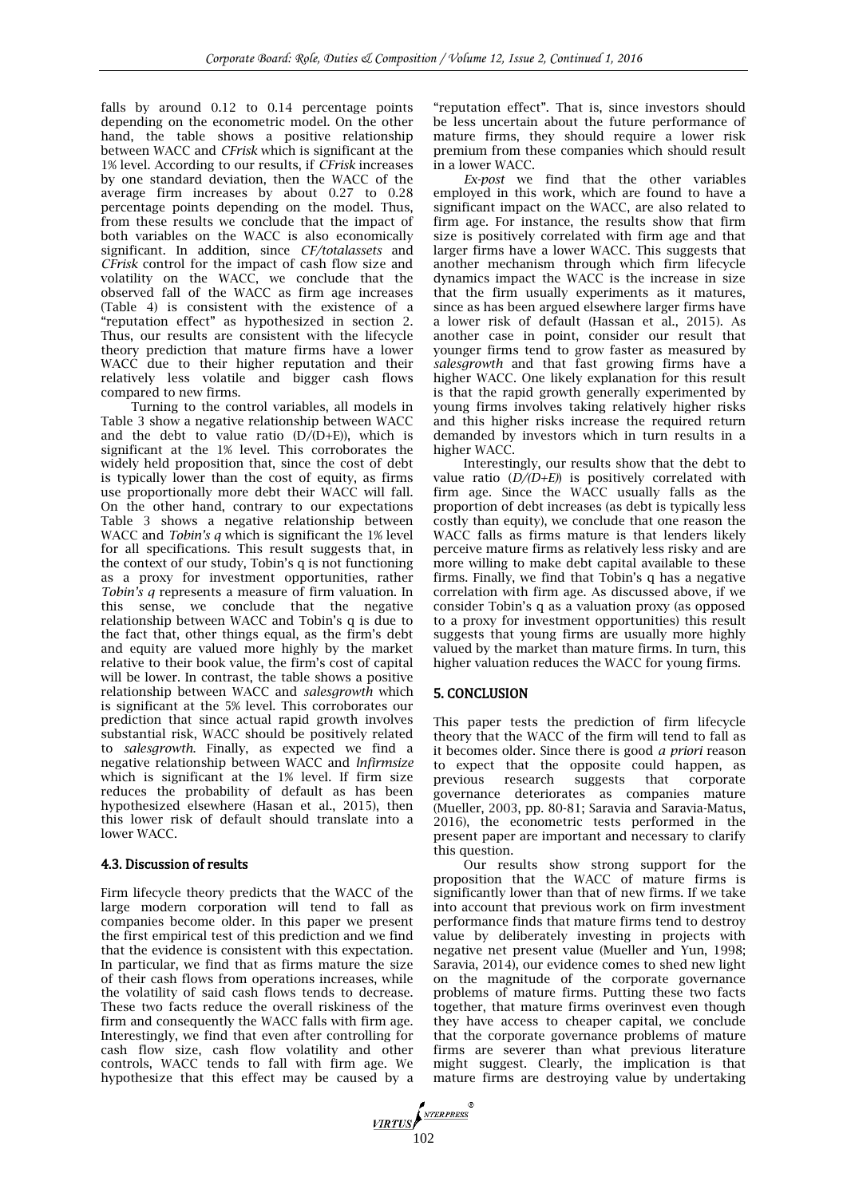falls by around 0.12 to 0.14 percentage points depending on the econometric model. On the other hand, the table shows a positive relationship between WACC and *CFrisk* which is significant at the 1% level. According to our results, if *CFrisk* increases by one standard deviation, then the WACC of the average firm increases by about 0.27 to 0.28 percentage points depending on the model. Thus, from these results we conclude that the impact of both variables on the WACC is also economically significant. In addition, since *CF/totalassets* and *CFrisk* control for the impact of cash flow size and volatility on the WACC, we conclude that the observed fall of the WACC as firm age increases (Table 4) is consistent with the existence of a "reputation effect" as hypothesized in section 2. Thus, our results are consistent with the lifecycle theory prediction that mature firms have a lower WACC due to their higher reputation and their relatively less volatile and bigger cash flows compared to new firms.

Turning to the control variables, all models in Table 3 show a negative relationship between WACC and the debt to value ratio  $(D/(D+E))$ , which is significant at the 1% level. This corroborates the widely held proposition that, since the cost of debt is typically lower than the cost of equity, as firms use proportionally more debt their WACC will fall. On the other hand, contrary to our expectations Table 3 shows a negative relationship between WACC and *Tobin's q* which is significant the 1% level for all specifications. This result suggests that, in the context of our study, Tobin's q is not functioning as a proxy for investment opportunities, rather *Tobin's q* represents a measure of firm valuation. In this sense, we conclude that the negative relationship between WACC and Tobin's q is due to the fact that, other things equal, as the firm's debt and equity are valued more highly by the market relative to their book value, the firm's cost of capital will be lower. In contrast, the table shows a positive relationship between WACC and *salesgrowth* which is significant at the 5% level. This corroborates our prediction that since actual rapid growth involves substantial risk, WACC should be positively related to *salesgrowth*. Finally, as expected we find a negative relationship between WACC and *lnfirmsize* which is significant at the 1% level. If firm size reduces the probability of default as has been hypothesized elsewhere (Hasan et al., 2015), then this lower risk of default should translate into a lower WACC.

# 4.3. Discussion of results

Firm lifecycle theory predicts that the WACC of the large modern corporation will tend to fall as companies become older. In this paper we present the first empirical test of this prediction and we find that the evidence is consistent with this expectation. In particular, we find that as firms mature the size of their cash flows from operations increases, while the volatility of said cash flows tends to decrease. These two facts reduce the overall riskiness of the firm and consequently the WACC falls with firm age. Interestingly, we find that even after controlling for cash flow size, cash flow volatility and other controls, WACC tends to fall with firm age. We hypothesize that this effect may be caused by a

"reputation effect". That is, since investors should be less uncertain about the future performance of mature firms, they should require a lower risk premium from these companies which should result in a lower WACC.

*Ex-post* we find that the other variables employed in this work, which are found to have a significant impact on the WACC, are also related to firm age. For instance, the results show that firm size is positively correlated with firm age and that larger firms have a lower WACC. This suggests that another mechanism through which firm lifecycle dynamics impact the WACC is the increase in size that the firm usually experiments as it matures, since as has been argued elsewhere larger firms have a lower risk of default (Hassan et al., 2015). As another case in point, consider our result that younger firms tend to grow faster as measured by *salesgrowth* and that fast growing firms have a higher WACC. One likely explanation for this result is that the rapid growth generally experimented by young firms involves taking relatively higher risks and this higher risks increase the required return demanded by investors which in turn results in a higher WACC.

Interestingly, our results show that the debt to value ratio (*D/(D+E)*) is positively correlated with firm age. Since the WACC usually falls as the proportion of debt increases (as debt is typically less costly than equity), we conclude that one reason the WACC falls as firms mature is that lenders likely perceive mature firms as relatively less risky and are more willing to make debt capital available to these firms. Finally, we find that Tobin's q has a negative correlation with firm age. As discussed above, if we consider Tobin's q as a valuation proxy (as opposed to a proxy for investment opportunities) this result suggests that young firms are usually more highly valued by the market than mature firms. In turn, this higher valuation reduces the WACC for young firms.

# 5. CONCLUSION

This paper tests the prediction of firm lifecycle theory that the WACC of the firm will tend to fall as it becomes older. Since there is good *a priori* reason to expect that the opposite could happen, as previous research suggests that corporate governance deteriorates as companies mature (Mueller, 2003, pp. 80-81; Saravia and Saravia-Matus, 2016), the econometric tests performed in the present paper are important and necessary to clarify this question.

Our results show strong support for the proposition that the WACC of mature firms is significantly lower than that of new firms. If we take into account that previous work on firm investment performance finds that mature firms tend to destroy value by deliberately investing in projects with negative net present value (Mueller and Yun, 1998; Saravia, 2014), our evidence comes to shed new light on the magnitude of the corporate governance problems of mature firms. Putting these two facts together, that mature firms overinvest even though they have access to cheaper capital, we conclude that the corporate governance problems of mature firms are severer than what previous literature might suggest. Clearly, the implication is that mature firms are destroying value by undertaking